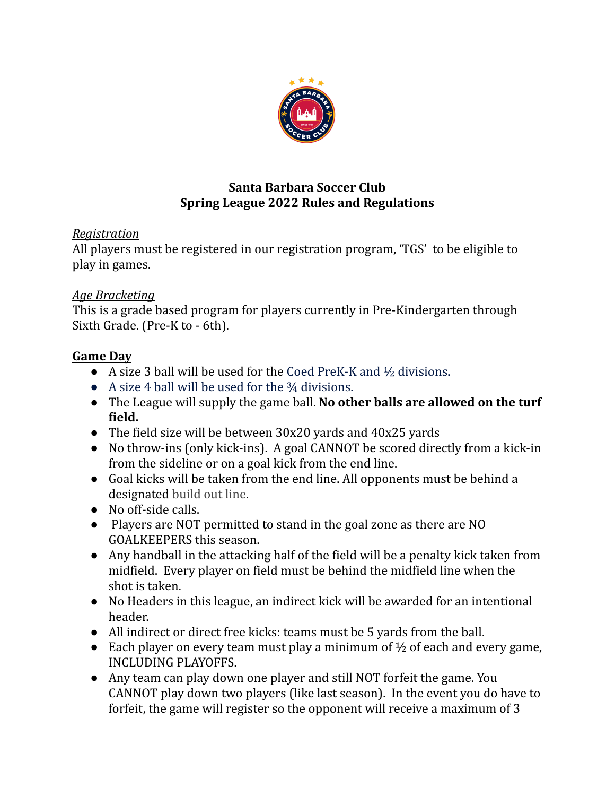

## **Santa Barbara Soccer Club Spring League 2022 Rules and Regulations**

# *Registration*

All players must be registered in our registration program, 'TGS' to be eligible to play in games.

## *Age Bracketing*

This is a grade based program for players currently in Pre-Kindergarten through Sixth Grade. (Pre-K to - 6th).

## **Game Day**

- $\bullet$  A size 3 ball will be used for the Coed PreK-K and  $\frac{1}{2}$  divisions.
- A size 4 ball will be used for the <sup>3</sup>/4 divisions.
- The League will supply the game ball. **No other balls are allowed on the turf field.**
- The field size will be between 30x20 yards and 40x25 yards
- No throw-ins (only kick-ins). A goal CANNOT be scored directly from a kick-in from the sideline or on a goal kick from the end line.
- Goal kicks will be taken from the end line. All opponents must be behind a designated build out line.
- No off-side calls.
- Players are NOT permitted to stand in the goal zone as there are NO GOALKEEPERS this season.
- Any handball in the attacking half of the field will be a penalty kick taken from midfield. Every player on field must be behind the midfield line when the shot is taken.
- No Headers in this league, an indirect kick will be awarded for an intentional header.
- All indirect or direct free kicks: teams must be 5 yards from the ball.
- Each player on every team must play a minimum of  $\frac{1}{2}$  of each and every game, INCLUDING PLAYOFFS.
- Any team can play down one player and still NOT forfeit the game. You CANNOT play down two players (like last season). In the event you do have to forfeit, the game will register so the opponent will receive a maximum of 3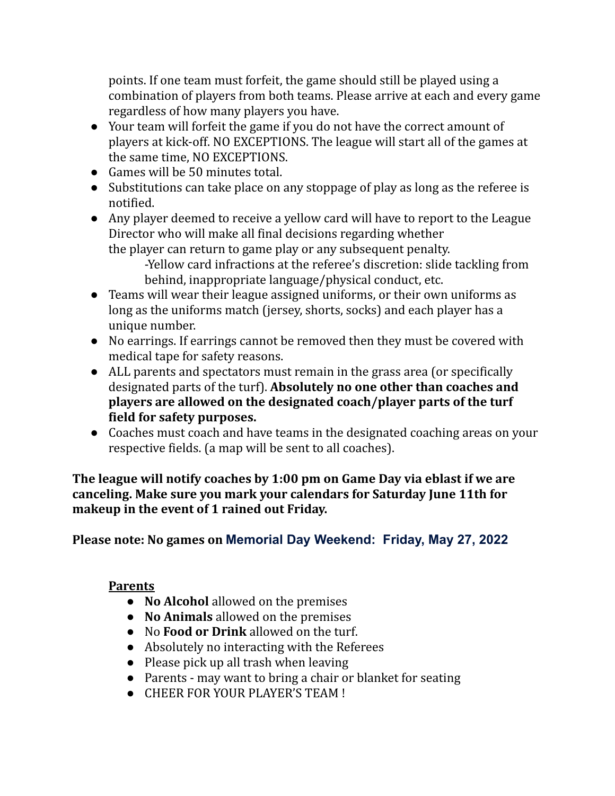points. If one team must forfeit, the game should still be played using a combination of players from both teams. Please arrive at each and every game regardless of how many players you have.

- Your team will forfeit the game if you do not have the correct amount of players at kick-off. NO EXCEPTIONS. The league will start all of the games at the same time, NO EXCEPTIONS.
- Games will be 50 minutes total.
- Substitutions can take place on any stoppage of play as long as the referee is notified.
- Any player deemed to receive a yellow card will have to report to the League Director who will make all final decisions regarding whether the player can return to game play or any subsequent penalty. -Yellow card infractions at the referee's discretion: slide tackling from

behind, inappropriate language/physical conduct, etc.

- Teams will wear their league assigned uniforms, or their own uniforms as long as the uniforms match (jersey, shorts, socks) and each player has a unique number.
- No earrings. If earrings cannot be removed then they must be covered with medical tape for safety reasons.
- ALL parents and spectators must remain in the grass area (or specifically designated parts of the turf). **Absolutely no one other than coaches and players are allowed on the designated coach/player parts of the turf field for safety purposes.**
- Coaches must coach and have teams in the designated coaching areas on your respective fields. (a map will be sent to all coaches).

**The league will notify coaches by 1:00 pm on Game Day via eblast if we are canceling. Make sure you mark your calendars for Saturday June 11th for makeup in the event of 1 rained out Friday.**

# **Please note: No games on Memorial Day Weekend: Friday, May 27, 2022**

#### **Parents**

- **No Alcohol** allowed on the premises
- **No Animals** allowed on the premises
- No **Food or Drink** allowed on the turf.
- Absolutely no interacting with the Referees
- Please pick up all trash when leaving
- Parents may want to bring a chair or blanket for seating
- CHEER FOR YOUR PLAYER'S TEAM !